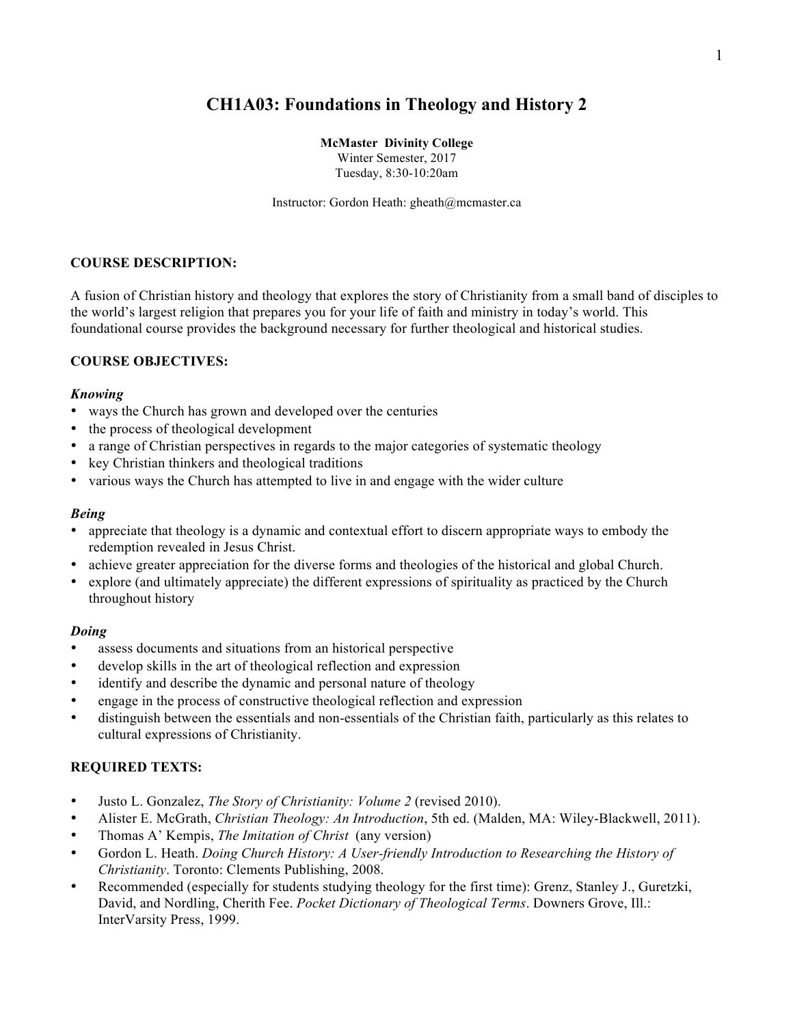# **CH1A03: Foundations in Theology and History 2**

**McMaster Divinity College**

Winter Semester, 2017 Tuesday, 8:30-10:20am

Instructor: Gordon Heath: gheath@mcmaster.ca

# **COURSE DESCRIPTION:**

A fusion of Christian history and theology that explores the story of Christianity from a small band of disciples to the world's largest religion that prepares you for your life of faith and ministry in today's world. This foundational course provides the background necessary for further theological and historical studies.

# **COURSE OBJECTIVES:**

#### *Knowing*

- ways the Church has grown and developed over the centuries
- the process of theological development
- a range of Christian perspectives in regards to the major categories of systematic theology
- key Christian thinkers and theological traditions
- various ways the Church has attempted to live in and engage with the wider culture

#### *Being*

- appreciate that theology is a dynamic and contextual effort to discern appropriate ways to embody the redemption revealed in Jesus Christ.
- achieve greater appreciation for the diverse forms and theologies of the historical and global Church.
- explore (and ultimately appreciate) the different expressions of spirituality as practiced by the Church throughout history

## *Doing*

- assess documents and situations from an historical perspective
- develop skills in the art of theological reflection and expression
- identify and describe the dynamic and personal nature of theology
- engage in the process of constructive theological reflection and expression
- distinguish between the essentials and non-essentials of the Christian faith, particularly as this relates to cultural expressions of Christianity.

## **REQUIRED TEXTS:**

- Justo L. Gonzalez, *The Story of Christianity: Volume 2* (revised 2010).
- Alister E. McGrath, *Christian Theology: An Introduction*, 5th ed. (Malden, MA: Wiley-Blackwell, 2011).
- Thomas A' Kempis, *The Imitation of Christ* (any version)
- Gordon L. Heath. *Doing Church History: A User-friendly Introduction to Researching the History of Christianity*. Toronto: Clements Publishing, 2008.
- Recommended (especially for students studying theology for the first time): Grenz, Stanley J., Guretzki, David, and Nordling, Cherith Fee. *Pocket Dictionary of Theological Terms*. Downers Grove, Ill.: InterVarsity Press, 1999.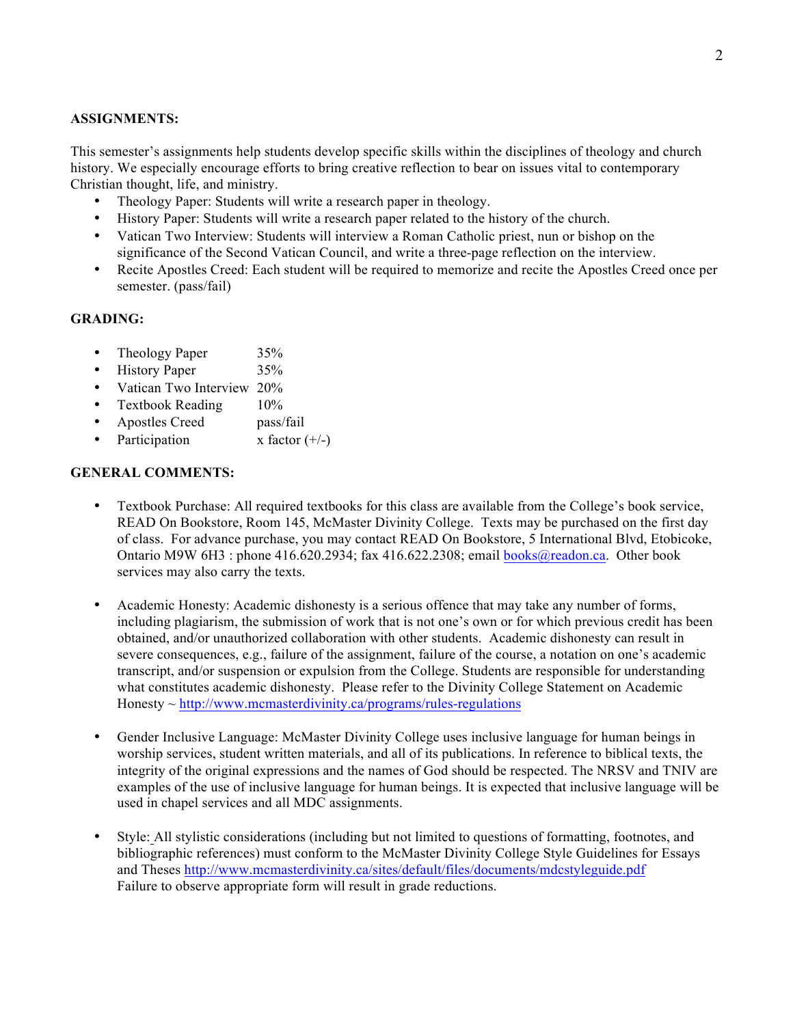#### **ASSIGNMENTS:**

This semester's assignments help students develop specific skills within the disciplines of theology and church history. We especially encourage efforts to bring creative reflection to bear on issues vital to contemporary Christian thought, life, and ministry.

- Theology Paper: Students will write a research paper in theology.
- History Paper: Students will write a research paper related to the history of the church.
- Vatican Two Interview: Students will interview a Roman Catholic priest, nun or bishop on the significance of the Second Vatican Council, and write a three-page reflection on the interview.
- Recite Apostles Creed: Each student will be required to memorize and recite the Apostles Creed once per semester. (pass/fail)

#### **GRADING:**

- Theology Paper 35%
- History Paper 35%
- Vatican Two Interview 20%
- Textbook Reading 10%
- Apostles Creed pass/fail
- Participation  $x$  factor  $(+/-)$

## **GENERAL COMMENTS:**

- Textbook Purchase: All required textbooks for this class are available from the College's book service, READ On Bookstore, Room 145, McMaster Divinity College. Texts may be purchased on the first day of class. For advance purchase, you may contact READ On Bookstore, 5 International Blvd, Etobicoke, Ontario M9W 6H3 : phone 416.620.2934; fax 416.622.2308; email books@readon.ca. Other book services may also carry the texts.
- Academic Honesty: Academic dishonesty is a serious offence that may take any number of forms, including plagiarism, the submission of work that is not one's own or for which previous credit has been obtained, and/or unauthorized collaboration with other students. Academic dishonesty can result in severe consequences, e.g., failure of the assignment, failure of the course, a notation on one's academic transcript, and/or suspension or expulsion from the College. Students are responsible for understanding what constitutes academic dishonesty. Please refer to the Divinity College Statement on Academic  $Honesty \sim \frac{http://www.mcmasterdivinity.ca/programs/rules-regulations}{}$
- Gender Inclusive Language: McMaster Divinity College uses inclusive language for human beings in worship services, student written materials, and all of its publications. In reference to biblical texts, the integrity of the original expressions and the names of God should be respected. The NRSV and TNIV are examples of the use of inclusive language for human beings. It is expected that inclusive language will be used in chapel services and all MDC assignments.
- Style: All stylistic considerations (including but not limited to questions of formatting, footnotes, and bibliographic references) must conform to the McMaster Divinity College Style Guidelines for Essays and Theses http://www.mcmasterdivinity.ca/sites/default/files/documents/mdcstyleguide.pdf Failure to observe appropriate form will result in grade reductions.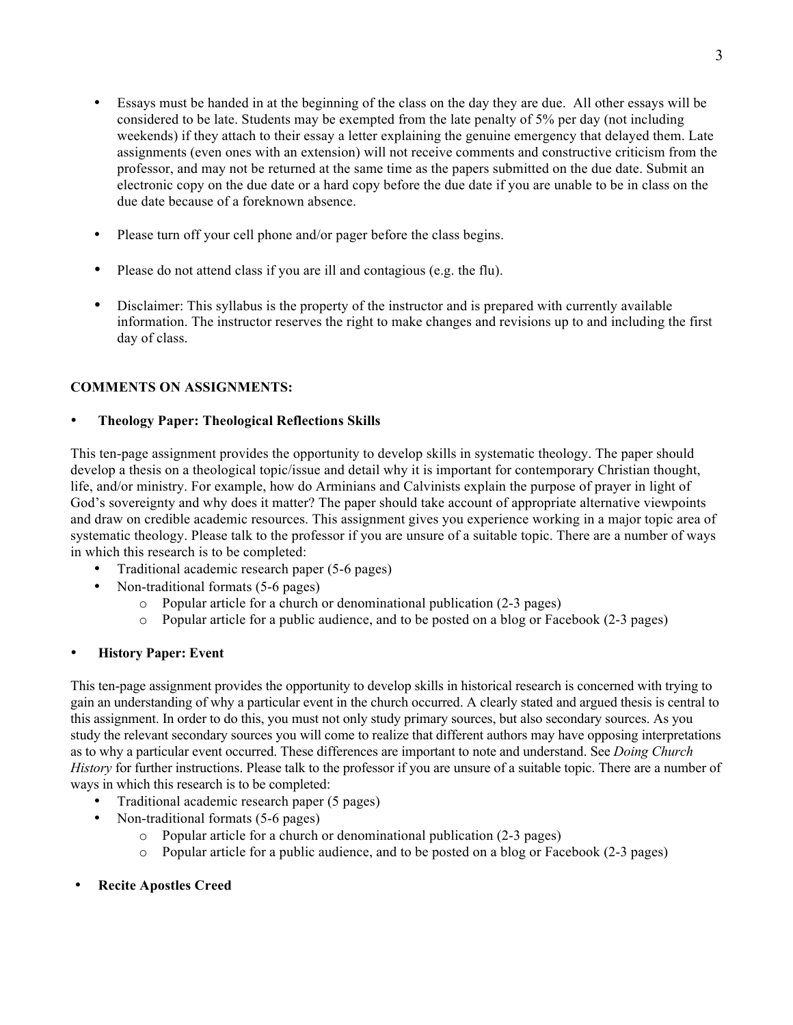- Essays must be handed in at the beginning of the class on the day they are due. All other essays will be considered to be late. Students may be exempted from the late penalty of 5% per day (not including weekends) if they attach to their essay a letter explaining the genuine emergency that delayed them. Late assignments (even ones with an extension) will not receive comments and constructive criticism from the professor, and may not be returned at the same time as the papers submitted on the due date. Submit an electronic copy on the due date or a hard copy before the due date if you are unable to be in class on the due date because of a foreknown absence.
- Please turn off your cell phone and/or pager before the class begins.
- Please do not attend class if you are ill and contagious (e.g. the flu).
- Disclaimer: This syllabus is the property of the instructor and is prepared with currently available information. The instructor reserves the right to make changes and revisions up to and including the first day of class.

# **COMMENTS ON ASSIGNMENTS:**

# • **Theology Paper: Theological Reflections Skills**

This ten-page assignment provides the opportunity to develop skills in systematic theology. The paper should develop a thesis on a theological topic/issue and detail why it is important for contemporary Christian thought, life, and/or ministry. For example, how do Arminians and Calvinists explain the purpose of prayer in light of God's sovereignty and why does it matter? The paper should take account of appropriate alternative viewpoints and draw on credible academic resources. This assignment gives you experience working in a major topic area of systematic theology. Please talk to the professor if you are unsure of a suitable topic. There are a number of ways in which this research is to be completed:

- Traditional academic research paper (5-6 pages)
	- Non-traditional formats (5-6 pages)
		- o Popular article for a church or denominational publication (2-3 pages)
		- o Popular article for a public audience, and to be posted on a blog or Facebook (2-3 pages)

## • **History Paper: Event**

This ten-page assignment provides the opportunity to develop skills in historical research is concerned with trying to gain an understanding of why a particular event in the church occurred. A clearly stated and argued thesis is central to this assignment. In order to do this, you must not only study primary sources, but also secondary sources. As you study the relevant secondary sources you will come to realize that different authors may have opposing interpretations as to why a particular event occurred. These differences are important to note and understand. See *Doing Church History* for further instructions. Please talk to the professor if you are unsure of a suitable topic. There are a number of ways in which this research is to be completed:

- Traditional academic research paper (5 pages)
- Non-traditional formats (5-6 pages)
	- o Popular article for a church or denominational publication (2-3 pages)
	- o Popular article for a public audience, and to be posted on a blog or Facebook (2-3 pages)
- **Recite Apostles Creed**